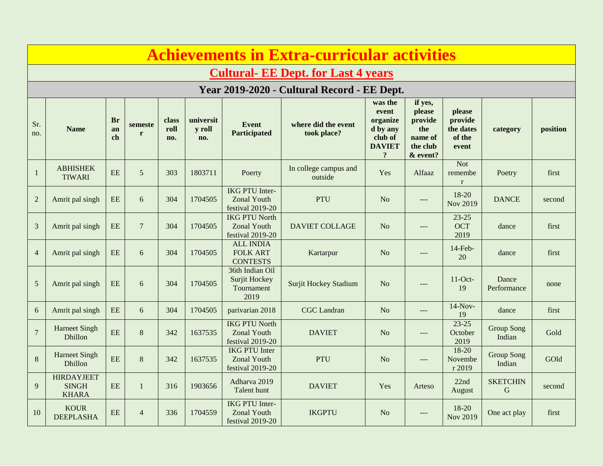| <b>Achievements in Extra-curricular activities</b> |                                                   |                       |                |                      |                            |                                                                 |                                    |                                                                                        |                                                                        |                                                   |                                |          |  |  |
|----------------------------------------------------|---------------------------------------------------|-----------------------|----------------|----------------------|----------------------------|-----------------------------------------------------------------|------------------------------------|----------------------------------------------------------------------------------------|------------------------------------------------------------------------|---------------------------------------------------|--------------------------------|----------|--|--|
|                                                    | <b>Cultural- EE Dept. for Last 4 years</b>        |                       |                |                      |                            |                                                                 |                                    |                                                                                        |                                                                        |                                                   |                                |          |  |  |
| Year 2019-2020 - Cultural Record - EE Dept.        |                                                   |                       |                |                      |                            |                                                                 |                                    |                                                                                        |                                                                        |                                                   |                                |          |  |  |
| Sr.<br>no.                                         | <b>Name</b>                                       | <b>Br</b><br>an<br>ch | semeste<br>r   | class<br>roll<br>no. | universit<br>y roll<br>no. | <b>Event</b><br>Participated                                    | where did the event<br>took place? | was the<br>event<br>organize<br>d by any<br>club of<br><b>DAVIET</b><br>$\overline{?}$ | if yes,<br>please<br>provide<br>the<br>name of<br>the club<br>& event? | please<br>provide<br>the dates<br>of the<br>event | category                       | position |  |  |
| $\mathbf{1}$                                       | <b>ABHISHEK</b><br><b>TIWARI</b>                  | EE                    | 5              | 303                  | 1803711                    | Poerty                                                          | In college campus and<br>outside   |                                                                                        | Alfaaz                                                                 | <b>Not</b><br>remembe<br>$\mathbf{r}$             | Poetry                         | first    |  |  |
| $\overline{2}$                                     | Amrit pal singh                                   | <b>EE</b>             | 6              | 304                  | 1704505                    | <b>IKG PTU Inter-</b><br><b>Zonal Youth</b><br>festival 2019-20 | <b>PTU</b>                         | No                                                                                     | $---$                                                                  | 18-20<br><b>Nov 2019</b>                          | <b>DANCE</b>                   | second   |  |  |
| 3                                                  | Amrit pal singh                                   | <b>EE</b>             | $\overline{7}$ | 304                  | 1704505                    | <b>IKG PTU North</b><br><b>Zonal Youth</b><br>festival 2019-20  | <b>DAVIET COLLAGE</b>              | N <sub>o</sub>                                                                         | $---$                                                                  | $23 - 25$<br><b>OCT</b><br>2019                   | dance                          | first    |  |  |
| $\overline{4}$                                     | Amrit pal singh                                   | EE                    | 6              | 304                  | 1704505                    | <b>ALL INDIA</b><br><b>FOLK ART</b><br><b>CONTESTS</b>          | Kartarpur                          | N <sub>o</sub>                                                                         | $---$                                                                  | $14$ -Feb-<br>20                                  | dance                          | first    |  |  |
| 5                                                  | Amrit pal singh                                   | $\rm EE$              | 6              | 304                  | 1704505                    | 36th Indian Oil<br>Surjit Hockey<br>Tournament<br>2019          | <b>Surjit Hockey Stadium</b>       | N <sub>o</sub>                                                                         | $---$                                                                  | $11$ -Oct-<br>19                                  | Dance<br>Performance           | none     |  |  |
| 6                                                  | Amrit pal singh                                   | <b>EE</b>             | 6              | 304                  | 1704505                    | parivarian 2018                                                 | <b>CGC</b> Landran                 | N <sub>o</sub>                                                                         | $---$                                                                  | $14-Nov-$<br>19                                   | dance                          | first    |  |  |
| $\overline{7}$                                     | <b>Harneet Singh</b><br>Dhillon                   | EE                    | 8              | 342                  | 1637535                    | <b>IKG PTU North</b><br><b>Zonal Youth</b><br>festival 2019-20  | <b>DAVIET</b>                      | N <sub>o</sub>                                                                         | $---$                                                                  | $23 - 25$<br>October<br>2019                      | <b>Group Song</b><br>Indian    | Gold     |  |  |
| 8                                                  | <b>Harneet Singh</b><br>Dhillon                   | EE                    | 8              | 342                  | 1637535                    | <b>IKG PTU Inter</b><br><b>Zonal Youth</b><br>festival 2019-20  | PTU                                | No                                                                                     | $---$                                                                  | $18 - 20$<br>Novembe<br>r 2019                    | <b>Group Song</b><br>Indian    | GOld     |  |  |
| 9                                                  | <b>HIRDAYJEET</b><br><b>SINGH</b><br><b>KHARA</b> | EE                    | $\mathbf{1}$   | 316                  | 1903656                    | Adharva 2019<br>Talent hunt                                     | <b>DAVIET</b>                      | Yes                                                                                    | Arteso                                                                 | 22nd<br>August                                    | <b>SKETCHIN</b><br>$\mathbf G$ | second   |  |  |
| 10                                                 | <b>KOUR</b><br><b>DEEPLASHA</b>                   | <b>EE</b>             | $\overline{4}$ | 336                  | 1704559                    | <b>IKG PTU Inter-</b><br><b>Zonal Youth</b><br>festival 2019-20 | <b>IKGPTU</b>                      | No                                                                                     | ---                                                                    | 18-20<br><b>Nov 2019</b>                          | One act play                   | first    |  |  |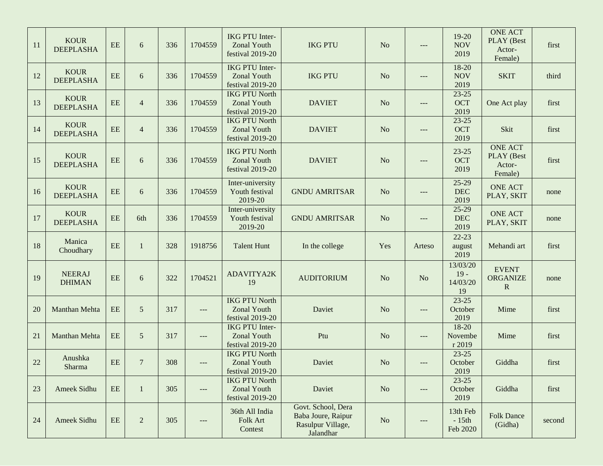| 11 | <b>KOUR</b><br><b>DEEPLASHA</b> | $\rm{EE}$ | 6              | 336 | 1704559 | <b>IKG PTU Inter-</b><br><b>Zonal Youth</b><br>festival 2019-20 | <b>IKG PTU</b>                                                             | N <sub>o</sub> | $---$  | 19-20<br><b>NOV</b><br>2019          | <b>ONE ACT</b><br>PLAY (Best<br>Actor-<br>Female) | first  |
|----|---------------------------------|-----------|----------------|-----|---------|-----------------------------------------------------------------|----------------------------------------------------------------------------|----------------|--------|--------------------------------------|---------------------------------------------------|--------|
| 12 | <b>KOUR</b><br><b>DEEPLASHA</b> | EE        | 6              | 336 | 1704559 | <b>IKG PTU Inter-</b><br><b>Zonal Youth</b><br>festival 2019-20 | <b>IKG PTU</b>                                                             | N <sub>o</sub> | ---    | 18-20<br><b>NOV</b><br>2019          | <b>SKIT</b>                                       | third  |
| 13 | <b>KOUR</b><br><b>DEEPLASHA</b> | EE        | 4              | 336 | 1704559 | <b>IKG PTU North</b><br><b>Zonal Youth</b><br>festival 2019-20  | <b>DAVIET</b>                                                              | N <sub>o</sub> | $---$  | $23 - 25$<br><b>OCT</b><br>2019      | One Act play                                      | first  |
| 14 | <b>KOUR</b><br><b>DEEPLASHA</b> | EE        | 4              | 336 | 1704559 | <b>IKG PTU North</b><br><b>Zonal Youth</b><br>festival 2019-20  | <b>DAVIET</b>                                                              | N <sub>o</sub> | ---    | $23 - 25$<br><b>OCT</b><br>2019      | Skit                                              | first  |
| 15 | <b>KOUR</b><br><b>DEEPLASHA</b> | EE        | 6              | 336 | 1704559 | <b>IKG PTU North</b><br><b>Zonal Youth</b><br>festival 2019-20  | <b>DAVIET</b>                                                              | N <sub>o</sub> |        | $23 - 25$<br>OCT<br>2019             | <b>ONE ACT</b><br>PLAY (Best<br>Actor-<br>Female) | first  |
| 16 | <b>KOUR</b><br><b>DEEPLASHA</b> | $\rm{EE}$ | 6              | 336 | 1704559 | Inter-university<br>Youth festival<br>2019-20                   | <b>GNDU AMRITSAR</b>                                                       | N <sub>o</sub> | $---$  | $25-29$<br>DEC<br>2019               | <b>ONE ACT</b><br>PLAY, SKIT                      | none   |
| 17 | <b>KOUR</b><br><b>DEEPLASHA</b> | EE        | 6th            | 336 | 1704559 | Inter-university<br>Youth festival<br>2019-20                   | <b>GNDU AMRITSAR</b>                                                       | N <sub>o</sub> | $---$  | 25-29<br>DEC<br>2019                 | <b>ONE ACT</b><br>PLAY, SKIT                      | none   |
| 18 | Manica<br>Choudhary             | EE        | 1              | 328 | 1918756 | <b>Talent Hunt</b>                                              | In the college                                                             | Yes            | Arteso | $22 - 23$<br>august<br>2019          | Mehandi art                                       | first  |
| 19 | <b>NEERAJ</b><br><b>DHIMAN</b>  | $\rm{EE}$ | 6              | 322 | 1704521 | ADAVITYA2K<br>19                                                | <b>AUDITORIUM</b>                                                          | N <sub>o</sub> | No     | 13/03/20<br>$19 -$<br>14/03/20<br>19 | <b>EVENT</b><br><b>ORGANIZE</b><br>$\mathbb{R}$   | none   |
| 20 | Manthan Mehta                   | EE        | 5              | 317 | $---$   | <b>IKG PTU North</b><br><b>Zonal Youth</b><br>festival 2019-20  | Daviet                                                                     | N <sub>o</sub> | $---$  | $23 - 25$<br>October<br>2019         | Mime                                              | first  |
| 21 | Manthan Mehta                   | EE        | 5              | 317 | $---$   | <b>IKG PTU Inter-</b><br><b>Zonal Youth</b><br>festival 2019-20 | Ptu                                                                        | N <sub>o</sub> | $---$  | 18-20<br>Novembe<br>r 2019           | Mime                                              | first  |
| 22 | Anushka<br>Sharma               | $\rm{EE}$ | $\overline{7}$ | 308 | $---$   | <b>IKG PTU North</b><br>Zonal Youth<br>festival 2019-20         | Daviet                                                                     | N <sub>o</sub> | $---$  | $23 - 25$<br>October<br>2019         | Giddha                                            | first  |
| 23 | Ameek Sidhu                     | $\rm{EE}$ | $\mathbf{1}$   | 305 | $---$   | <b>IKG PTU North</b><br><b>Zonal Youth</b><br>festival 2019-20  | Daviet                                                                     | N <sub>o</sub> | $---$  | $23 - 25$<br>October<br>2019         | Giddha                                            | first  |
| 24 | Ameek Sidhu                     | $\rm{EE}$ | $\sqrt{2}$     | 305 | $---$   | 36th All India<br>Folk Art<br>Contest                           | Govt. School, Dera<br>Baba Joure, Raipur<br>Rasulpur Village,<br>Jalandhar | $\rm No$       |        | 13th Feb<br>$-15th$<br>Feb 2020      | <b>Folk Dance</b><br>(Gidha)                      | second |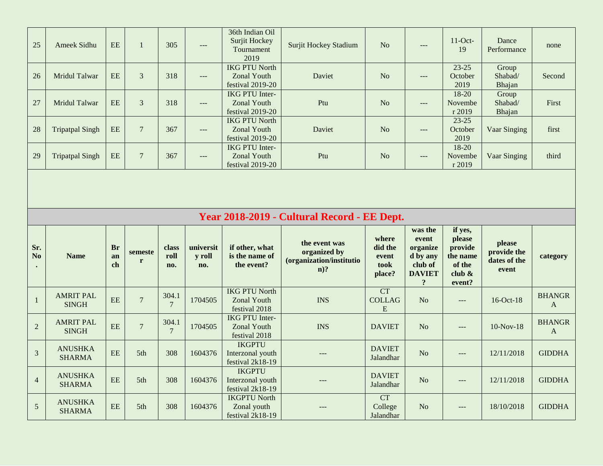| 25                    | Ameek Sidhu                      | <b>EE</b>             | $\mathbf{1}$     | 305                      | $---$                      | 36th Indian Oil<br>Surjit Hockey<br>Tournament<br>2019          | <b>Surjit Hockey Stadium</b>                                                                                      | N <sub>o</sub>                              | $---$                                                                                       | $11$ -Oct-<br>19                                                | Dance<br>Performance                           | none                          |
|-----------------------|----------------------------------|-----------------------|------------------|--------------------------|----------------------------|-----------------------------------------------------------------|-------------------------------------------------------------------------------------------------------------------|---------------------------------------------|---------------------------------------------------------------------------------------------|-----------------------------------------------------------------|------------------------------------------------|-------------------------------|
| 26                    | Mridul Talwar                    | EE                    | 3                | 318                      | $\overline{a}$             | <b>IKG PTU North</b><br><b>Zonal Youth</b><br>festival 2019-20  | Daviet                                                                                                            | N <sub>o</sub>                              | $\hspace{0.05cm}---$                                                                        | $23 - 25$<br>October<br>2019                                    | Group<br>Shabad/<br>Bhajan                     | Second                        |
| 27                    | <b>Mridul Talwar</b>             | EE                    | 3                | 318                      | ---                        | <b>IKG PTU Inter-</b><br><b>Zonal Youth</b><br>festival 2019-20 | Ptu                                                                                                               | N <sub>o</sub>                              | $---$                                                                                       | $18-20$<br>Novembe<br>r 2019                                    | Group<br>Shabad/<br>Bhajan                     | First                         |
| 28                    | <b>Tripatpal Singh</b>           | EE                    | $7\phantom{.0}$  | 367                      | $---$                      | <b>IKG PTU North</b><br><b>Zonal Youth</b><br>festival 2019-20  | Daviet                                                                                                            | N <sub>o</sub>                              | $---$                                                                                       | $23 - 25$<br>October<br>2019                                    | Vaar Singing                                   | first                         |
| 29                    | <b>Tripatpal Singh</b>           | $\rm{EE}$             | $\boldsymbol{7}$ | 367                      | $---$                      | <b>IKG PTU Inter-</b><br><b>Zonal Youth</b><br>festival 2019-20 | Ptu                                                                                                               | N <sub>o</sub>                              | $---$                                                                                       | 18-20<br>Novembe<br>r 2019                                      | Vaar Singing                                   | third                         |
|                       |                                  |                       |                  |                          |                            |                                                                 |                                                                                                                   |                                             |                                                                                             |                                                                 |                                                |                               |
|                       |                                  |                       |                  |                          |                            |                                                                 |                                                                                                                   |                                             |                                                                                             |                                                                 |                                                |                               |
| Sr.<br>N <sub>o</sub> | <b>Name</b>                      | <b>Br</b><br>an<br>ch | semeste<br>r     | class<br>roll<br>no.     | universit<br>y roll<br>no. | if other, what<br>is the name of<br>the event?                  | Year 2018-2019 - Cultural Record - EE Dept.<br>the event was<br>organized by<br>(organization/institutio<br>$n$ ? | where<br>did the<br>event<br>took<br>place? | was the<br>event<br>organize<br>d by any<br>club of<br><b>DAVIET</b><br>$\ddot{\mathbf{.}}$ | if yes,<br>please<br>provide<br>the name<br>of the<br>club $\&$ | please<br>provide the<br>dates of the<br>event | category                      |
| $\mathbf{1}$          | <b>AMRIT PAL</b><br><b>SINGH</b> | EE                    | $\boldsymbol{7}$ | 304.1<br>$7\phantom{.0}$ | 1704505                    | <b>IKG PTU North</b><br><b>Zonal Youth</b><br>festival 2018     | <b>INS</b>                                                                                                        | CT<br><b>COLLAG</b><br>E                    | N <sub>o</sub>                                                                              | event?<br>$\qquad \qquad - -$                                   | 16-Oct-18                                      | <b>BHANGR</b><br>$\mathbf{A}$ |
| $\overline{2}$        | <b>AMRIT PAL</b><br><b>SINGH</b> | EE                    | $\overline{7}$   | 304.1<br>$7\phantom{.0}$ | 1704505                    | <b>IKG PTU Inter-</b><br><b>Zonal Youth</b><br>festival 2018    | <b>INS</b>                                                                                                        | <b>DAVIET</b>                               | N <sub>o</sub>                                                                              | $---$                                                           | $10-Nov-18$                                    | <b>BHANGR</b><br>$\mathbf{A}$ |
| $\mathfrak{Z}$        | <b>ANUSHKA</b><br><b>SHARMA</b>  | EE                    | 5th              | 308                      | 1604376                    | <b>IKGPTU</b><br>Interzonal youth<br>festival 2k18-19           | $---$                                                                                                             | <b>DAVIET</b><br>Jalandhar                  | No                                                                                          | $---$                                                           | 12/11/2018                                     | <b>GIDDHA</b>                 |
| $\overline{4}$        | <b>ANUSHKA</b><br><b>SHARMA</b>  | EE                    | 5th              | 308                      | 1604376                    | <b>IKGPTU</b><br>Interzonal youth<br>festival 2k18-19           | $---$                                                                                                             | <b>DAVIET</b><br>Jalandhar                  | N <sub>o</sub>                                                                              | $\qquad \qquad - -$                                             | 12/11/2018                                     | <b>GIDDHA</b>                 |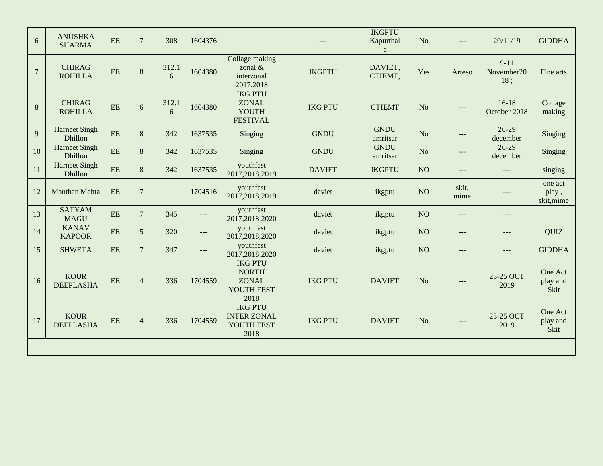| 6              | <b>ANUSHKA</b><br><b>SHARMA</b> | EE | $\overline{7}$ | 308        | 1604376 |                                                                      | ---            | <b>IKGPTU</b><br>Kapurthal<br>a | No              | $---$         | 20/11/19                      | <b>GIDDHA</b>                  |
|----------------|---------------------------------|----|----------------|------------|---------|----------------------------------------------------------------------|----------------|---------------------------------|-----------------|---------------|-------------------------------|--------------------------------|
| $\overline{7}$ | <b>CHIRAG</b><br><b>ROHILLA</b> | EE | $\,8\,$        | 312.1<br>6 | 1604380 | Collage making<br>zonal $\&$<br>interzonal<br>2017,2018              | <b>IKGPTU</b>  | DAVIET,<br>CTIEMT,              | Yes             | Arteso        | $9 - 11$<br>November20<br>18; | Fine arts                      |
| $\,8\,$        | <b>CHIRAG</b><br><b>ROHILLA</b> | EE | 6              | 312.1<br>6 | 1604380 | <b>IKG PTU</b><br><b>ZONAL</b><br><b>YOUTH</b><br><b>FESTIVAL</b>    | <b>IKG PTU</b> | <b>CTIEMT</b>                   | N <sub>o</sub>  | $---$         | $16-18$<br>October 2018       | Collage<br>making              |
| 9              | <b>Harneet Singh</b><br>Dhillon | EE | 8              | 342        | 1637535 | Singing                                                              | <b>GNDU</b>    | <b>GNDU</b><br>amritsar         | N <sub>o</sub>  | $---$         | $26-29$<br>december           | Singing                        |
| 10             | <b>Harneet Singh</b><br>Dhillon | EE | 8              | 342        | 1637535 | Singing                                                              | <b>GNDU</b>    | <b>GNDU</b><br>amritsar         | N <sub>o</sub>  | $---$         | $26-29$<br>december           | Singing                        |
| 11             | <b>Harneet Singh</b><br>Dhillon | EE | 8              | 342        | 1637535 | youthfest<br>2017,2018,2019                                          | <b>DAVIET</b>  | <b>IKGPTU</b>                   | NO <sub>1</sub> | $---$         | $---$                         | singing                        |
| 12             | Manthan Mehta                   | EE | $\overline{7}$ |            | 1704516 | youthfest<br>2017,2018,2019                                          | daviet         | ikgptu                          | NO              | skit,<br>mime | $---$                         | one act<br>play,<br>skit, mime |
| 13             | <b>SATYAM</b><br><b>MAGU</b>    | EE | $\overline{7}$ | 345        | $---$   | youthfest<br>2017,2018,2020                                          | daviet         | ikgptu                          | NO              | $---$         | $---$                         |                                |
| 14             | <b>KANAV</b><br><b>KAPOOR</b>   | EE | 5              | 320        | $---$   | youthfest<br>2017,2018,2020                                          | daviet         | ikgptu                          | NO              | $---$         | $---$                         | <b>QUIZ</b>                    |
| 15             | <b>SHWETA</b>                   | EE | $\overline{7}$ | 347        | $---$   | youthfest<br>2017,2018,2020                                          | daviet         | ikgptu                          | NO              | $---$         | $---$                         | <b>GIDDHA</b>                  |
| 16             | <b>KOUR</b><br><b>DEEPLASHA</b> | EE | $\overline{4}$ | 336        | 1704559 | <b>IKG PTU</b><br><b>NORTH</b><br><b>ZONAL</b><br>YOUTH FEST<br>2018 | <b>IKG PTU</b> | <b>DAVIET</b>                   | No              | $---$         | 23-25 OCT<br>2019             | One Act<br>play and<br>Skit    |
| 17             | <b>KOUR</b><br><b>DEEPLASHA</b> | EE | $\overline{4}$ | 336        | 1704559 | <b>IKG PTU</b><br><b>INTER ZONAL</b><br>YOUTH FEST<br>2018           | <b>IKG PTU</b> | <b>DAVIET</b>                   | N <sub>o</sub>  | $---$         | 23-25 OCT<br>2019             | One Act<br>play and<br>Skit    |
|                |                                 |    |                |            |         |                                                                      |                |                                 |                 |               |                               |                                |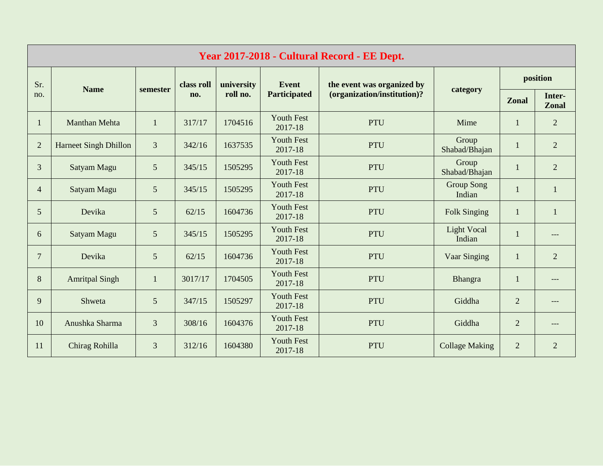| Year 2017-2018 - Cultural Record - EE Dept. |                              |                 |            |            |                              |                             |                              |                |                        |  |  |  |
|---------------------------------------------|------------------------------|-----------------|------------|------------|------------------------------|-----------------------------|------------------------------|----------------|------------------------|--|--|--|
| Sr.                                         |                              |                 | class roll | university | Event                        | the event was organized by  |                              | position       |                        |  |  |  |
| no.                                         | <b>Name</b>                  | semester        | no.        | roll no.   | <b>Participated</b>          | (organization/institution)? | category                     | <b>Zonal</b>   | Inter-<br><b>Zonal</b> |  |  |  |
| $\mathbf{1}$                                | <b>Manthan Mehta</b>         | $\mathbf{1}$    | 317/17     | 1704516    | <b>Youth Fest</b><br>2017-18 | <b>PTU</b>                  | Mime                         | $\mathbf{1}$   | 2                      |  |  |  |
| $\overline{2}$                              | <b>Harneet Singh Dhillon</b> | 3               | 342/16     | 1637535    | <b>Youth Fest</b><br>2017-18 | <b>PTU</b>                  | Group<br>Shabad/Bhajan       | $\mathbf{1}$   | 2                      |  |  |  |
| 3                                           | Satyam Magu                  | 5               | 345/15     | 1505295    | <b>Youth Fest</b><br>2017-18 | <b>PTU</b>                  | Group<br>Shabad/Bhajan       |                | $\overline{2}$         |  |  |  |
| $\overline{4}$                              | Satyam Magu                  | 5               | 345/15     | 1505295    | <b>Youth Fest</b><br>2017-18 | <b>PTU</b>                  | <b>Group Song</b><br>Indian  | $\mathbf{1}$   | $\mathbf{1}$           |  |  |  |
| 5                                           | Devika                       | 5               | 62/15      | 1604736    | <b>Youth Fest</b><br>2017-18 | <b>PTU</b>                  | <b>Folk Singing</b>          | 1              | $\mathbf{1}$           |  |  |  |
| 6                                           | Satyam Magu                  | 5               | 345/15     | 1505295    | <b>Youth Fest</b><br>2017-18 | <b>PTU</b>                  | <b>Light Vocal</b><br>Indian |                | ---                    |  |  |  |
| $\overline{7}$                              | Devika                       | $5\overline{)}$ | 62/15      | 1604736    | <b>Youth Fest</b><br>2017-18 | <b>PTU</b>                  | Vaar Singing                 | $\mathbf{1}$   | 2                      |  |  |  |
| 8                                           | <b>Amritpal Singh</b>        | $\mathbf{1}$    | 3017/17    | 1704505    | <b>Youth Fest</b><br>2017-18 | <b>PTU</b>                  | Bhangra                      | 1              | ---                    |  |  |  |
| 9                                           | Shweta                       | 5               | 347/15     | 1505297    | <b>Youth Fest</b><br>2017-18 | <b>PTU</b>                  | Giddha                       | $\overline{2}$ | ---                    |  |  |  |
| 10                                          | Anushka Sharma               | 3               | 308/16     | 1604376    | <b>Youth Fest</b><br>2017-18 | <b>PTU</b>                  | Giddha                       | $\overline{2}$ | ---                    |  |  |  |
| 11                                          | Chirag Rohilla               | $\overline{3}$  | 312/16     | 1604380    | <b>Youth Fest</b><br>2017-18 | <b>PTU</b>                  | <b>Collage Making</b>        | $\overline{2}$ | 2                      |  |  |  |